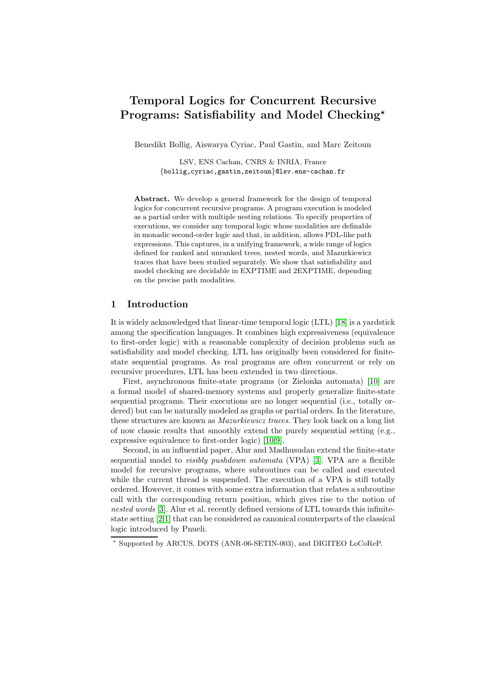# Temporal Logics for Concurrent Recursive Programs: Satisfiability and Model Checking\*

Benedikt Bollig, Aiswarya Cyriac, Paul Gastin, and Marc Zeitoun

LSV, ENS Cachan, CNRS & INRIA, France {bollig,cyriac,gastin,zeitoun}@lsv.ens-cachan.fr

Abstract. We develop a general framework for the design of temporal logics for concurrent recursive programs. A program execution is modeled as a partial order with multiple nesting relations. To specify properties of executions, we consider any temporal logic whose modalities are definable in monadic second-order logic and that, in addition, allows PDL-like path expressions. This captures, in a unifying framework, a wide range of logics defined for ranked and unranked trees, nested words, and Mazurkiewicz traces that have been studied separately. We show that satisfiability and model checking are decidable in EXPTIME and 2EXPTIME, depending on the precise path modalities.

### 1 Introduction

It is widely acknowledged that linear-time temporal logic (LTL) [\[18\]](#page-11-0) is a yardstick among the specification languages. It combines high expressiveness (equivalence to first-order logic) with a reasonable complexity of decision problems such as satisfiability and model checking. LTL has originally been considered for finitestate sequential programs. As real programs are often concurrent or rely on recursive procedures, LTL has been extended in two directions.

First, asynchronous finite-state programs (or Zielonka automata) [\[10\]](#page-11-1) are a formal model of shared-memory systems and properly generalize finite-state sequential programs. Their executions are no longer sequential (i.e., totally ordered) but can be naturally modeled as graphs or partial orders. In the literature, these structures are known as Mazurkiewicz traces. They look back on a long list of now classic results that smoothly extend the purely sequential setting (e.g., expressive equivalence to first-order logic) [\[10,](#page-11-1)[9\]](#page-11-2).

Second, in an influential paper, Alur and Madhusudan extend the finite-state sequential model to *visibly pushdown automata* (VPA) [\[3\]](#page-11-3). VPA are a flexible model for recursive programs, where subroutines can be called and executed while the current thread is suspended. The execution of a VPA is still totally ordered. However, it comes with some extra information that relates a subroutine call with the corresponding return position, which gives rise to the notion of nested words [\[3\]](#page-11-3). Alur et al. recently defined versions of LTL towards this infinitestate setting [\[2,](#page-11-4)[1\]](#page-11-5) that can be considered as canonical counterparts of the classical logic introduced by Pnueli.

<sup>!</sup> Supported by ARCUS, DOTS (ANR-06-SETIN-003), and DIGITEO LoCoReP.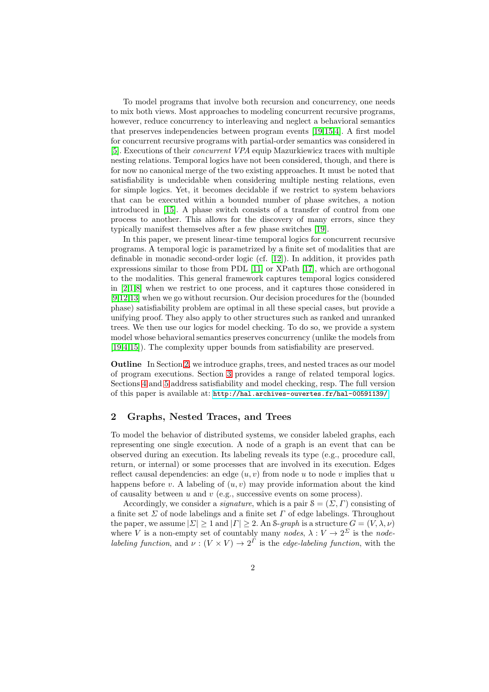To model programs that involve both recursion and concurrency, one needs to mix both views. Most approaches to modeling concurrent recursive programs, however, reduce concurrency to interleaving and neglect a behavioral semantics that preserves independencies between program events [\[19,](#page-11-6)[15,](#page-11-7)[4\]](#page-11-8). A first model for concurrent recursive programs with partial-order semantics was considered in [\[5\]](#page-11-9). Executions of their concurrent VPA equip Mazurkiewicz traces with multiple nesting relations. Temporal logics have not been considered, though, and there is for now no canonical merge of the two existing approaches. It must be noted that satisfiability is undecidable when considering multiple nesting relations, even for simple logics. Yet, it becomes decidable if we restrict to system behaviors that can be executed within a bounded number of phase switches, a notion introduced in [\[15\]](#page-11-7). A phase switch consists of a transfer of control from one process to another. This allows for the discovery of many errors, since they typically manifest themselves after a few phase switches [\[19\]](#page-11-6).

In this paper, we present linear-time temporal logics for concurrent recursive programs. A temporal logic is parametrized by a finite set of modalities that are definable in monadic second-order logic (cf. [\[12\]](#page-11-10)). In addition, it provides path expressions similar to those from PDL [\[11\]](#page-11-11) or XPath [\[17\]](#page-11-12), which are orthogonal to the modalities. This general framework captures temporal logics considered in [\[2,](#page-11-4)[1,](#page-11-5)[8\]](#page-11-13) when we restrict to one process, and it captures those considered in [\[9,](#page-11-2)[12](#page-11-10)[,13\]](#page-11-14) when we go without recursion. Our decision procedures for the (bounded phase) satisfiability problem are optimal in all these special cases, but provide a unifying proof. They also apply to other structures such as ranked and unranked trees. We then use our logics for model checking. To do so, we provide a system model whose behavioral semantics preserves concurrency (unlike the models from [\[19](#page-11-6)[,4](#page-11-8)[,15\]](#page-11-7)). The complexity upper bounds from satisfiability are preserved.

Outline In Section [2,](#page-1-0) we introduce graphs, trees, and nested traces as our model of program executions. Section [3](#page-4-0) provides a range of related temporal logics. Sections [4](#page-5-0) and [5](#page-10-0) address satisfiability and model checking, resp. The full version of this paper is available at: <http://hal.archives-ouvertes.fr/hal-00591139/>

### <span id="page-1-0"></span>2 Graphs, Nested Traces, and Trees

To model the behavior of distributed systems, we consider labeled graphs, each representing one single execution. A node of a graph is an event that can be observed during an execution. Its labeling reveals its type (e.g., procedure call, return, or internal) or some processes that are involved in its execution. Edges reflect causal dependencies: an edge  $(u, v)$  from node u to node v implies that u happens before v. A labeling of  $(u, v)$  may provide information about the kind of causality between  $u$  and  $v$  (e.g., successive events on some process).

Accordingly, we consider a *signature*, which is a pair  $S = (\Sigma, \Gamma)$  consisting of a finite set  $\Sigma$  of node labelings and a finite set  $\Gamma$  of edge labelings. Throughout the paper, we assume  $|\Sigma| \geq 1$  and  $|\Gamma| \geq 2$ . An S-graph is a structure  $G = (V, \lambda, \nu)$ where V is a non-empty set of countably many nodes,  $\lambda: V \to 2^{\Sigma}$  is the node*labeling function,* and  $\nu : (V \times V) \rightarrow 2^{\Gamma}$  is the *edge-labeling function,* with the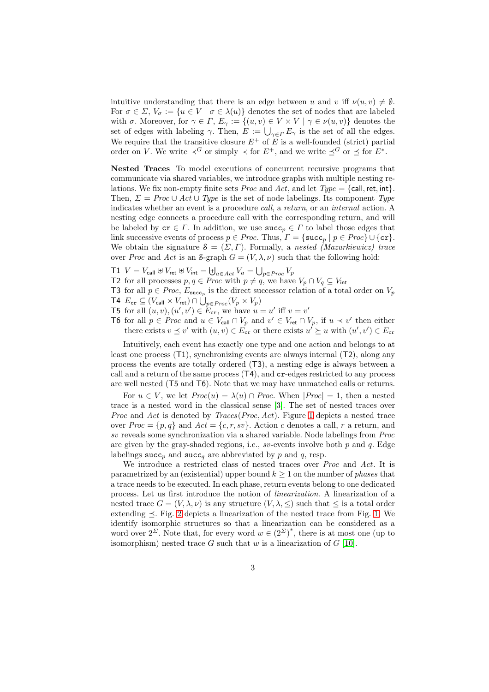intuitive understanding that there is an edge between u and v iff  $\nu(u, v) \neq \emptyset$ . For  $\sigma \in \Sigma$ ,  $V_{\sigma} := \{u \in V \mid \sigma \in \lambda(u)\}\$  denotes the set of nodes that are labeled with  $\sigma$ . Moreover, for  $\gamma \in \Gamma$ ,  $E_{\gamma} := \{(u, v) \in V \times V \mid \gamma \in \nu(u, v)\}\)$  denotes the set of edges with labeling  $\gamma$ . Then,  $E := \bigcup_{\gamma \in \Gamma} E_{\gamma}$  is the set of all the edges. We require that the transitive closure  $E^+$  of E is a well-founded (strict) partial order on V. We write  $\prec^G$  or simply  $\prec$  for  $E^+$ , and we write  $\preceq^G$  or  $\preceq$  for  $E^*$ .

Nested Traces To model executions of concurrent recursive programs that communicate via shared variables, we introduce graphs with multiple nesting relations. We fix non-empty finite sets *Proc* and Act, and let  $Type = \{\text{call}, \text{ret}, \text{int}\}.$ Then,  $\Sigma = \text{Proc} \cup \text{Act} \cup \text{Type}$  is the set of node labelings. Its component Type indicates whether an event is a procedure call, a return, or an internal action. A nesting edge connects a procedure call with the corresponding return, and will be labeled by  $\mathsf{cr} \in \Gamma$ . In addition, we use  $\mathsf{succ}_p \in \Gamma$  to label those edges that link successive events of process  $p \in Proc$ . Thus,  $\Gamma = \{\text{succ}_p \mid p \in Proc\} \cup \{\text{cr}\}.$ We obtain the signature  $\mathcal{S} = (\Sigma, \Gamma)$ . Formally, a nested (Mazurkiewicz) trace over *Proc* and Act is an S-graph  $G = (V, \lambda, \nu)$  such that the following hold:

- T1  $V = V_{\text{call}} \oplus V_{\text{ret}} \oplus V_{\text{int}} = \bigcup_{a \in Act} V_a = \bigcup_{p \in Proc} V_p$
- T2 for all processes  $p, q \in Proc$  with  $p \neq q$ , we have  $V_p \cap V_q \subseteq V_{\text{int}}$
- T3 for all  $p \in Proc$ ,  $E_{succ_p}$  is the direct successor relation of a total order on  $V_p$  $\mathsf{T4}$   $E_{\mathsf{cr}} \subseteq (V_{\mathsf{call}} \times V_{\mathsf{ret}}) \cap \bigcup_{p \in \mathit{Proc}} (V_p \times V_p)$
- **T5** for all  $(u, v), (u', v') \in \mathbb{E}_{\text{cr}}$ , we have  $u = u'$  iff  $v = v'$
- T6 for all  $p \in Proc$  and  $u \in V_{\text{call}} \cap V_p$  and  $v' \in V_{\text{ret}} \cap V_p$ , if  $u \prec v'$  then either there exists  $v \preceq v'$  with  $(u, v) \in E_{\text{cr}}$  or there exists  $u' \succeq u$  with  $(u', v') \in E_{\text{cr}}$

Intuitively, each event has exactly one type and one action and belongs to at least one process (T1), synchronizing events are always internal (T2), along any process the events are totally ordered (T3), a nesting edge is always between a call and a return of the same process (T4), and cr-edges restricted to any process are well nested (T5 and T6). Note that we may have unmatched calls or returns.

For  $u \in V$ , we let  $Proc(u) = \lambda(u) \cap Proc$ . When  $|Proc| = 1$ , then a nested trace is a nested word in the classical sense [\[3\]](#page-11-3). The set of nested traces over Proc and Act is denoted by Traces(Proc, Act). Figure [1](#page-3-0) depicts a nested trace over  $Proc = \{p, q\}$  and  $Act = \{c, r, sv\}$ . Action c denotes a call, r a return, and sv reveals some synchronization via a shared variable. Node labelings from Proc are given by the gray-shaded regions, i.e., sv-events involve both  $p$  and  $q$ . Edge labelings succ<sub>n</sub> and succ<sub>a</sub> are abbreviated by p and q, resp.

We introduce a restricted class of nested traces over *Proc* and Act. It is parametrized by an (existential) upper bound  $k \geq 1$  on the number of *phases* that a trace needs to be executed. In each phase, return events belong to one dedicated process. Let us first introduce the notion of linearization. A linearization of a nested trace  $G = (V, \lambda, \nu)$  is any structure  $(V, \lambda, \leq)$  such that  $\leq$  is a total order extending  $\preceq$ . Fig. [2](#page-3-1) depicts a linearization of the nested trace from Fig. [1.](#page-3-0) We identify isomorphic structures so that a linearization can be considered as a word over  $2^{\Sigma}$ . Note that, for every word  $w \in (2^{\Sigma})^*$ , there is at most one (up to isomorphism) nested trace  $G$  such that  $w$  is a linearization of  $G$  [\[10\]](#page-11-1).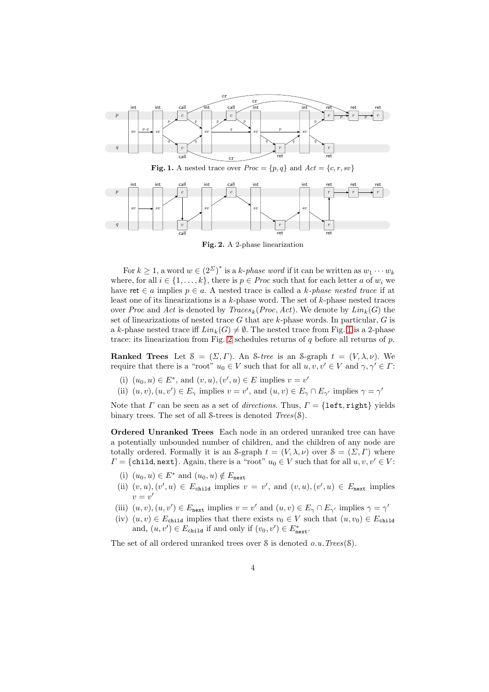

<span id="page-3-1"></span><span id="page-3-0"></span>For  $k \geq 1$ , a word  $w \in (2^{\Sigma})^*$  is a k-phase word if it can be written as  $w_1 \cdots w_k$ where, for all  $i \in \{1, \ldots, k\}$ , there is  $p \in Proc$  such that for each letter a of  $w_i$  we have ret  $\in$  a implies  $p \in a$ . A nested trace is called a k-phase nested trace if at least one of its linearizations is a  $k$ -phase word. The set of  $k$ -phase nested traces over Proc and Act is denoted by  $Trace_k(Proc, Act)$ . We denote by  $Lin_k(G)$  the set of linearizations of nested trace  $G$  that are k-phase words. In particular,  $G$  is a k-phase nested trace iff  $Lin_k(G) \neq \emptyset$ . The nested trace from Fig. [1](#page-3-0) is a 2-phase trace: its linearization from Fig. [2](#page-3-1) schedules returns of  $q$  before all returns of  $p$ .

**Ranked Trees** Let  $\mathcal{S} = (\Sigma, \Gamma)$ . An S-tree is an S-graph  $t = (V, \lambda, \nu)$ . We require that there is a "root"  $u_0 \in V$  such that for all  $u, v, v' \in V$  and  $\gamma, \gamma' \in \Gamma$ :

- (i)  $(u_0, u) \in E^*$ , and  $(v, u), (v', u) \in E$  implies  $v = v'$
- (ii)  $(u, v), (u, v') \in E_\gamma$  implies  $v = v'$ , and  $(u, v) \in E_\gamma \cap E_{\gamma'}$  implies  $\gamma = \gamma'$

Note that  $\Gamma$  can be seen as a set of *directions*. Thus,  $\Gamma = \{\text{left}, \text{right}\}\$  yields binary trees. The set of all S-trees is denoted  $Trees(\mathcal{S})$ .

Ordered Unranked Trees Each node in an ordered unranked tree can have a potentially unbounded number of children, and the children of any node are totally ordered. Formally it is an S-graph  $t = (V, \lambda, \nu)$  over  $S = (\Sigma, \Gamma)$  where  $\Gamma = \{\text{child}, \text{next}\}.$  Again, there is a "root"  $u_0 \in V$  such that for all  $u, v, v' \in V$ :

- (i)  $(u_0, u) \in E^*$  and  $(u_0, u) \notin E_{\text{next}}$
- (ii)  $(v, u), (v', u) \in E_{\text{child}}$  implies  $v = v'$ , and  $(v, u), (v', u) \in E_{\text{next}}$  implies  $v = v'$
- (iii)  $(u, v), (u, v') \in E_{\text{next}}$  implies  $v = v'$  and  $(u, v) \in E_{\gamma} \cap E_{\gamma'}$  implies  $\gamma = \gamma'$
- (iv)  $(u, v) \in E_{\text{child}}$  implies that there exists  $v_0 \in V$  such that  $(u, v_0) \in E_{\text{child}}$ and,  $(u, v') \in E_{\text{child}}$  if and only if  $(v_0, v') \in E_{\text{next}}^*$ .

The set of all ordered unranked trees over  $S$  is denoted  $o.u. Trees(S)$ .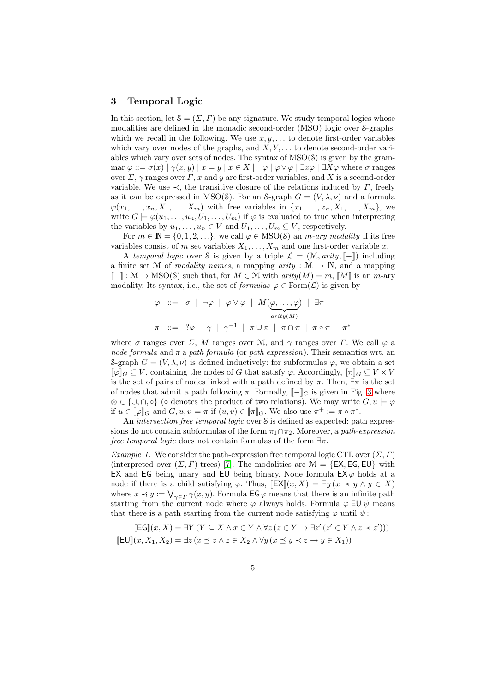### <span id="page-4-0"></span>3 Temporal Logic

In this section, let  $\mathcal{S} = (\Sigma, \Gamma)$  be any signature. We study temporal logics whose modalities are defined in the monadic second-order (MSO) logic over S-graphs, which we recall in the following. We use  $x, y, \ldots$  to denote first-order variables which vary over nodes of the graphs, and  $X, Y, \ldots$  to denote second-order variables which vary over sets of nodes. The syntax of  $MSO(8)$  is given by the grammar  $\varphi ::= \sigma(x) | \gamma(x, y) | x = y | x \in X | \neg \varphi | \varphi \vee \varphi | \exists x \varphi | \exists X \varphi$  where  $\sigma$  ranges over  $\Sigma$ ,  $\gamma$  ranges over  $\Gamma$ , x and y are first-order variables, and X is a second-order variable. We use  $\prec$ , the transitive closure of the relations induced by  $\Gamma$ , freely as it can be expressed in MSO(8). For an 8-graph  $G = (V, \lambda, \nu)$  and a formula  $\varphi(x_1,\ldots,x_n,X_1,\ldots,X_m)$  with free variables in  $\{x_1,\ldots,x_n,X_1,\ldots,X_m\}$ , we write  $G \models \varphi(u_1,\ldots,u_n,U_1,\ldots,U_m)$  if  $\varphi$  is evaluated to true when interpreting the variables by  $u_1, \ldots, u_n \in V$  and  $U_1, \ldots, U_m \subseteq V$ , respectively.

For  $m \in \mathbb{N} = \{0, 1, 2, \ldots\}$ , we call  $\varphi \in \text{MSO}(\mathcal{S})$  an  $m$ -ary modality if its free variables consist of m set variables  $X_1, \ldots, X_m$  and one first-order variable x.

A temporal logic over S is given by a triple  $\mathcal{L} = (\mathcal{M}, \text{arity}, \llbracket - \rrbracket)$  including a finite set M of modality names, a mapping arity :  $M \rightarrow \mathbb{N}$ , and a mapping  $[-] : \mathcal{M} \to \text{MSO}(8)$  such that, for  $M \in \mathcal{M}$  with  $arity(M) = m$ ,  $[M]$  is an m-ary modality. Its syntax, i.e., the set of *formulas*  $\varphi \in \text{Form}(\mathcal{L})$  is given by

$$
\varphi \ ::= \ \sigma \ | \ \neg \varphi \ | \ \varphi \vee \varphi \ | \ \ M(\varphi, \dots, \varphi) \ | \ \exists \pi
$$
  

$$
\pi \ ::= \ ?\varphi \ | \ \gamma \ | \ \gamma^{-1} \ | \ \pi \cup \pi \ | \ \pi \cap \pi \ | \ \pi \circ \pi \ | \ \pi^*
$$

where  $\sigma$  ranges over  $\Sigma$ , M ranges over M, and  $\gamma$  ranges over  $\Gamma$ . We call  $\varphi$  a node formula and  $\pi$  a path formula (or path expression). Their semantics wrt. an S-graph  $G = (V, \lambda, \nu)$  is defined inductively: for subformulas  $\varphi$ , we obtain a set  $[\![\varphi]\!]_G \subseteq V$ , containing the nodes of G that satisfy  $\varphi$ . Accordingly,  $[\![\pi]\!]_G \subseteq V \times V$ is the set of pairs of nodes linked with a path defined by  $\pi$ . Then,  $\exists \pi$  is the set of nodes that admit a path following  $\pi$ . Formally,  $\llbracket - \rrbracket_G$  is given in Fig. [3](#page-5-1) where ⊗ ∈ {∪, ∩, ∘} (∘ denotes the product of two relations). We may write  $G, u \models \varphi$ if  $u \in [\![\varphi]\!]_G$  and  $G, u, v \models \pi$  if  $(u, v) \in [\![\pi]\!]_G$ . We also use  $\pi^+ := \pi \circ \pi^*$ .

An *intersection free temporal logic* over S is defined as expected: path expressions do not contain subformulas of the form  $\pi_1 \cap \pi_2$ . Moreover, a path-expression free temporal logic does not contain formulas of the form  $\exists \pi$ .

Example 1. We consider the path-expression free temporal logic CTL over  $(\Sigma, \Gamma)$ (interpreted over  $(\Sigma, \Gamma)$ -trees) [\[7\]](#page-11-15). The modalities are  $\mathcal{M} = \{EX, EG, EU\}$  with EX and EG being unary and EU being binary. Node formula  $EX \varphi$  holds at a node if there is a child satisfying  $\varphi$ . Thus,  $[\mathsf{EX}](x, X) = \exists y (x \prec y \land y \in X)$ where  $x \prec y := \bigvee_{\gamma \in \Gamma} \gamma(x, y)$ . Formula EG $\varphi$  means that there is an infinite path starting from the current node where  $\varphi$  always holds. Formula  $\varphi$  EU  $\psi$  means that there is a path starting from the current node satisfying  $\varphi$  until  $\psi$ :

<span id="page-4-1"></span>
$$
\llbracket \mathsf{EG} \rrbracket(x, X) = \exists Y \left( Y \subseteq X \land x \in Y \land \forall z \left( z \in Y \to \exists z' \left( z' \in Y \land z \prec z' \right) \right) \right)
$$
  

$$
\llbracket \mathsf{EU} \rrbracket(x, X_1, X_2) = \exists z \left( x \preceq z \land z \in X_2 \land \forall y \left( x \preceq y \prec z \to y \in X_1 \right) \right)
$$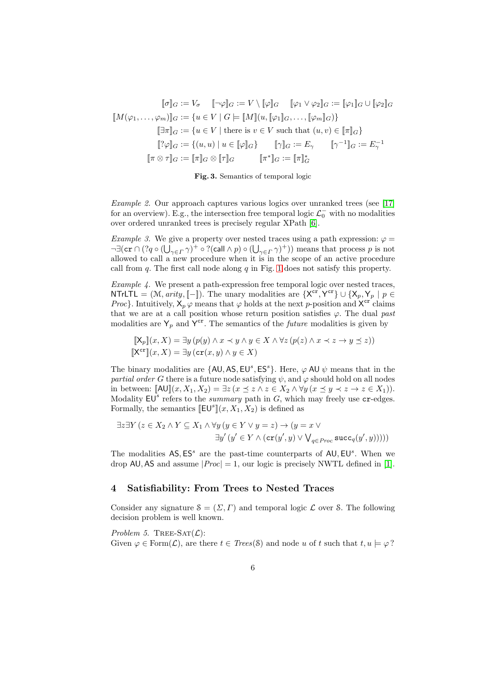$$
\llbracket \sigma \rrbracket_G := V_{\sigma} \quad \llbracket \neg \varphi \rrbracket_G := V \setminus \llbracket \varphi \rrbracket_G \quad \llbracket \varphi_1 \vee \varphi_2 \rrbracket_G := \llbracket \varphi_1 \rrbracket_G \cup \llbracket \varphi_2 \rrbracket_G
$$
\n
$$
\llbracket M(\varphi_1, \dots, \varphi_m) \rrbracket_G := \{ u \in V \mid G \models \llbracket M \rrbracket(u, \llbracket \varphi_1 \rrbracket_G, \dots, \llbracket \varphi_m \rrbracket_G) \}
$$
\n
$$
\llbracket \exists \pi \rrbracket_G := \{ u \in V \mid \text{there is } v \in V \text{ such that } (u, v) \in \llbracket \pi \rrbracket_G \}
$$
\n
$$
\llbracket ?\varphi \rrbracket_G := \{ (u, u) \mid u \in \llbracket \varphi \rrbracket_G \} \qquad \llbracket \gamma \rrbracket_G := E_{\gamma} \qquad \llbracket \gamma^{-1} \rrbracket_G := E_{\gamma}^{-1}
$$
\n
$$
\llbracket \pi \otimes \tau \rrbracket_G := \llbracket \pi \rrbracket_G \otimes \llbracket \tau \rrbracket_G \qquad \llbracket \pi^* \rrbracket_G := \llbracket \pi \rrbracket_G^*
$$

<span id="page-5-1"></span>Fig. 3. Semantics of temporal logic

Example 2. Our approach captures various logics over unranked trees (see [\[17\]](#page-11-12) for an overview). E.g., the intersection free temporal logic  $\mathcal{L}_0^-$  with no modalities over ordered unranked trees is precisely regular XPath [\[6\]](#page-11-16).

Example 3. We give a property over nested traces using a path expression:  $\varphi =$  $\neg\exists$ (cr  $\cap$  (?q  $\circ$  ( $\bigcup_{\gamma \in \Gamma} \gamma$ )<sup>+</sup>  $\circ$  ?(call  $\land$  p)  $\circ$  ( $\bigcup_{\gamma \in \Gamma} \gamma$ )<sup>+</sup>)) means that process p is not allowed to call a new procedure when it is in the scope of an active procedure call from  $q$ . The first call node along  $q$  in Fig. [1](#page-3-0) does not satisfy this property.

Example 4. We present a path-expression free temporal logic over nested traces, NTrLTL =  $(\mathcal{M}, \text{arity}, \llbracket - \rrbracket)$ . The unary modalities are  $\{X^{cr}, Y^{cr}\} \cup \{X_p, Y_p \mid p \in \mathcal{M}\}$ *Proc*}. Intuitively,  $X_p \varphi$  means that  $\varphi$  holds at the next p-position and  $X^{cr}$  claims that we are at a call position whose return position satisfies  $\varphi$ . The dual past modalities are  $Y_p$  and  $Y^{cr}$ . The semantics of the *future* modalities is given by

$$
\llbracket \mathsf{X}_p \rrbracket(x, X) = \exists y (p(y) \land x \prec y \land y \in X \land \forall z (p(z) \land x \prec z \rightarrow y \preceq z))
$$
  

$$
\llbracket \mathsf{X}^{\mathsf{cr}} \rrbracket(x, X) = \exists y (\mathsf{cr}(x, y) \land y \in X)
$$

The binary modalities are  $\{AU, AS, EU^s, ES^s\}$ . Here,  $\varphi$  AU  $\psi$  means that in the partial order G there is a future node satisfying  $\psi$ , and  $\varphi$  should hold on all nodes in between:  $\llbracket \mathsf{A}\mathsf{U} \rrbracket(x, X_1, X_2) = \exists z \, (x \preceq z \land z \in X_2 \land \forall y \, (x \preceq y \prec z \rightarrow z \in X_1)).$ Modality  $EU^s$  refers to the *summary* path in  $G$ , which may freely use  $cr$ -edges. Formally, the semantics  $[\mathsf{EU}^s](x, X_1, X_2)$  is defined as

$$
\exists z \exists Y (z \in X_2 \land Y \subseteq X_1 \land \forall y (y \in Y \lor y = z) \to (y = x \lor \exists y' (y' \in Y \land (c r(y', y) \lor \bigvee_{q \in \text{Proc} } s u c c_q(y', y))))))
$$

The modalities  $AS, ES^s$  are the past-time counterparts of  $AU, EU^s$ . When we drop AU, AS and assume  $|Proc| = 1$ , our logic is precisely NWTL defined in [\[1\]](#page-11-5).

# <span id="page-5-0"></span>4 Satisfiability: From Trees to Nested Traces

Consider any signature  $\mathcal{S} = (\Sigma, \Gamma)$  and temporal logic  $\mathcal L$  over S. The following decision problem is well known.

Problem 5. TREE-SAT $(\mathcal{L})$ : Given  $\varphi \in \text{Form}(\mathcal{L})$ , are there  $t \in \text{Trees}(\mathcal{S})$  and node u of t such that  $t, u \models \varphi$ ?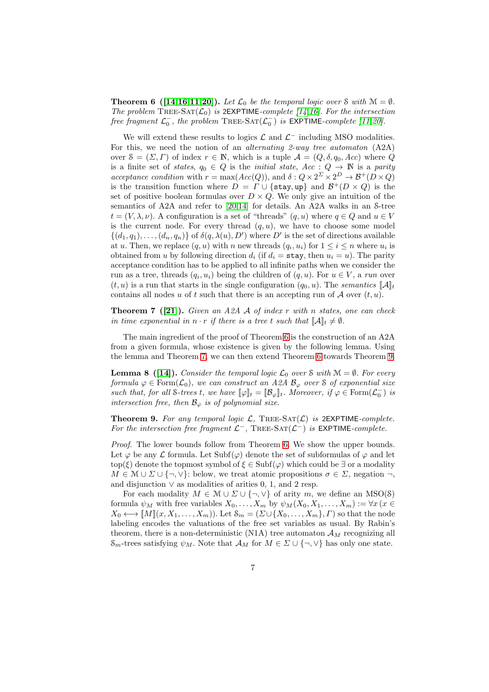<span id="page-6-0"></span>**Theorem 6** ([\[14](#page-11-17)[,16,](#page-11-18)[11,](#page-11-11)[20\]](#page-11-19)). Let  $\mathcal{L}_0$  be the temporal logic over S with  $\mathcal{M} = \emptyset$ . The problem TREE-SAT( $\mathcal{L}_0$ ) is 2EXPTIME-complete [\[14](#page-11-17)[,16\]](#page-11-18). For the intersection free fragment  $\mathcal{L}_0^-$ , the problem  $\text{Tree-Sar}(\mathcal{L}_0^-)$  is  $\textsf{EXPTIME-complete }$  [\[11,](#page-11-11)[20\]](#page-11-19).

We will extend these results to logics  $\mathcal L$  and  $\mathcal L^-$  including MSO modalities. For this, we need the notion of an alternating 2-way tree automaton (A2A) over  $S = (\Sigma, \Gamma)$  of index  $r \in \mathbb{N}$ , which is a tuple  $\mathcal{A} = (Q, \delta, q_0, Acc)$  where Q is a finite set of states,  $q_0 \in Q$  is the *initial state, Acc* :  $Q \to \mathbb{N}$  is a parity acceptance condition with  $r = \max(Acc(Q))$ , and  $\delta: Q \times 2^{\Sigma} \times 2^D \to \mathcal{B}^+(D \times Q)$ is the transition function where  $D = \Gamma \cup \{\text{stay, up}\}\$  and  $\mathcal{B}^+(D \times O)$  is the set of positive boolean formulas over  $D \times Q$ . We only give an intuition of the semantics of A2A and refer to [\[20](#page-11-19)[,14\]](#page-11-17) for details. An A2A walks in an S-tree  $t = (V, \lambda, \nu)$ . A configuration is a set of "threads"  $(q, u)$  where  $q \in Q$  and  $u \in V$ is the current node. For every thread  $(q, u)$ , we have to choose some model  $\{(d_1, q_1), \ldots, (d_n, q_n)\}\$  of  $\delta(q, \lambda(u), D')$  where  $D'$  is the set of directions available at u. Then, we replace  $(q, u)$  with n new threads  $(q_i, u_i)$  for  $1 \leq i \leq n$  where  $u_i$  is obtained from u by following direction  $d_i$  (if  $d_i = \text{stay}$ , then  $u_i = u$ ). The parity acceptance condition has to be applied to all infinite paths when we consider the run as a tree, threads  $(q_i, u_i)$  being the children of  $(q, u)$ . For  $u \in V$ , a run over  $(t, u)$  is a run that starts in the single configuration  $(q_0, u)$ . The semantics  $\|\mathcal{A}\|_t$ contains all nodes u of t such that there is an accepting run of  $A$  over  $(t, u)$ .

<span id="page-6-1"></span>**Theorem 7** ([\[21\]](#page-11-20)). Given an A2A A of index r with n states, one can check in time exponential in n · r if there is a tree t such that  $\|\mathcal{A}\|_t \neq \emptyset$ .

The main ingredient of the proof of Theorem [6](#page-6-0) is the construction of an A2A from a given formula, whose existence is given by the following lemma. Using the lemma and Theorem [7,](#page-6-1) we can then extend Theorem [6](#page-6-0) towards Theorem [9.](#page-6-2)

<span id="page-6-3"></span>**Lemma 8** ([\[14\]](#page-11-17)). Consider the temporal logic  $\mathcal{L}_0$  over S with  $\mathcal{M} = \emptyset$ . For every formula  $\varphi \in \text{Form}(\mathcal{L}_0)$ , we can construct an A2A  $\mathcal{B}_{\varphi}$  over S of exponential size such that, for all S-trees t, we have  $[\![\varphi]\!]_t = [\![\mathcal{B}_{\varphi}]\!]_t$ . Moreover, if  $\varphi \in \text{Form}(\mathcal{L}_0^-)$  is intersection free, then  $\mathcal{B}_{\varphi}$  is of polynomial size.

<span id="page-6-2"></span>**Theorem 9.** For any temporal logic  $\mathcal{L}$ , TREE-SAT( $\mathcal{L}$ ) is 2EXPTIME-complete. For the intersection free fragment  $\mathcal{L}^-$ , TREE-SAT( $\mathcal{L}^-$ ) is EXPTIME-complete.

Proof. The lower bounds follow from Theorem [6.](#page-6-0) We show the upper bounds. Let  $\varphi$  be any  $\mathcal L$  formula. Let Subf $(\varphi)$  denote the set of subformulas of  $\varphi$  and let top(ξ) denote the topmost symbol of  $\xi \in \text{Subf}(\varphi)$  which could be  $\exists$  or a modality  $M \in \mathcal{M} \cup \Sigma \cup \{\neg, \vee\}$ : below, we treat atomic propositions  $\sigma \in \Sigma$ , negation  $\neg$ , and disjunction  $\vee$  as modalities of arities 0, 1, and 2 resp.

For each modality  $M \in \mathcal{M} \cup \Sigma \cup \{\neg, \vee\}$  of arity m, we define an MSO(8) formula  $\psi_M$  with free variables  $X_0, \ldots, X_m$  by  $\psi_M(X_0, X_1, \ldots, X_m) := \forall x \, (x \in$  $X_0 \longleftrightarrow [M](x, X_1, \ldots, X_m)$ . Let  $\mathcal{S}_m = (\Sigma \cup \{X_0, \ldots, X_m\}, \Gamma)$  so that the node labeling encodes the valuations of the free set variables as usual. By Rabin's theorem, there is a non-deterministic (N1A) tree automaton  $\mathcal{A}_M$  recognizing all  $\mathcal{S}_m$ -trees satisfying  $\psi_M$ . Note that  $\mathcal{A}_M$  for  $M \in \Sigma \cup \{\neg, \vee\}$  has only one state.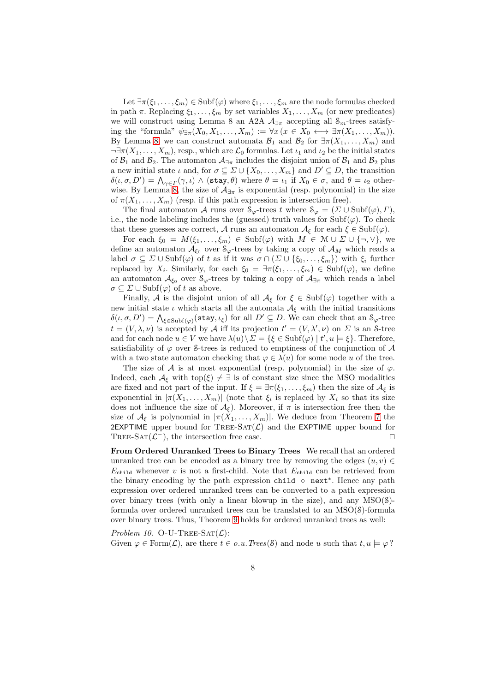Let  $\exists \pi(\xi_1,\ldots,\xi_m) \in \text{Subf}(\varphi)$  where  $\xi_1,\ldots,\xi_m$  are the node formulas checked in path  $\pi$ . Replacing  $\xi_1,\ldots,\xi_m$  by set variables  $X_1,\ldots,X_m$  (or new predicates) we will construct using Lemma 8 an A2A  $A_{\exists \pi}$  accepting all  $S_m$ -trees satisfying the "formula"  $\psi_{\exists \pi}(X_0, X_1, \ldots, X_m) := \forall x \ (x \in X_0 \longleftrightarrow \exists \pi(X_1, \ldots, X_m)).$ By Lemma [8,](#page-6-3) we can construct automata  $\mathcal{B}_1$  and  $\mathcal{B}_2$  for  $\exists \pi(X_1,\ldots,X_m)$  and  $\neg \exists \pi(X_1,\ldots,X_m)$ , resp., which are  $\mathcal{L}_0$  formulas. Let  $\iota_1$  and  $\iota_2$  be the initial states of  $\mathcal{B}_1$  and  $\mathcal{B}_2$ . The automaton  $\mathcal{A}_{\exists \pi}$  includes the disjoint union of  $\mathcal{B}_1$  and  $\mathcal{B}_2$  plus a new initial state  $\iota$  and, for  $\sigma \subseteq \Sigma \cup \{X_0, \ldots, X_m\}$  and  $D' \subseteq D$ , the transition  $\delta(\iota, \sigma, D') = \bigwedge_{\gamma \in \Gamma} (\gamma, \iota) \wedge (\text{stay}, \theta) \text{ where } \theta = \iota_1 \text{ if } X_0 \in \sigma, \text{ and } \theta = \iota_2 \text{ other-}$ wise. By Lemma [8,](#page-6-3) the size of  $\mathcal{A}_{\exists \pi}$  is exponential (resp. polynomial) in the size of  $\pi(X_1,\ldots,X_m)$  (resp. if this path expression is intersection free).

The final automaton A runs over  $\mathcal{S}_{\varphi}$ -trees t where  $\mathcal{S}_{\varphi} = (\Sigma \cup \text{Subf}(\varphi), \Gamma)$ , i.e., the node labeling includes the (guessed) truth values for  $\text{Subf}(\varphi)$ . To check that these guesses are correct, A runs an automaton  $A_{\xi}$  for each  $\xi \in \text{Subf}(\varphi)$ .

For each  $\xi_0 = M(\xi_1,\ldots,\xi_m) \in \text{Subf}(\varphi)$  with  $M \in \mathcal{M} \cup \Sigma \cup \{\neg, \vee\},\$ define an automaton  $\mathcal{A}_{\xi_0}$  over  $\mathcal{S}_{\varphi}$ -trees by taking a copy of  $\mathcal{A}_M$  which reads a label  $\sigma \subseteq \Sigma \cup \mathrm{Subf}(\varphi)$  of t as if it was  $\sigma \cap (\Sigma \cup \{\xi_0,\ldots,\xi_m\})$  with  $\xi_i$  further replaced by  $X_i$ . Similarly, for each  $\xi_0 = \exists \pi(\xi_1,\ldots,\xi_m) \in \text{Subf}(\varphi)$ , we define an automaton  $\mathcal{A}_{\xi_0}$  over  $\mathcal{S}_{\varphi}$ -trees by taking a copy of  $\mathcal{A}_{\exists \pi}$  which reads a label  $\sigma \subseteq \Sigma \cup \mathrm{Subf}(\varphi)$  of t as above.

Finally, A is the disjoint union of all  $\mathcal{A}_{\xi}$  for  $\xi \in \text{Subf}(\varphi)$  together with a new initial state  $\iota$  which starts all the automata  $\mathcal{A}_{\xi}$  with the initial transitions  $\delta(\iota, \sigma, D') = \bigwedge_{\xi \in \text{Subf}(\varphi)} (\text{stay}, \iota_{\xi}) \text{ for all } D' \subseteq D.$  We can check that an  $\mathcal{S}_{\varphi}$ -tree  $t = (V, \lambda, \nu)$  is accepted by A iff its projection  $t' = (V, \lambda', \nu)$  on  $\Sigma$  is an S-tree and for each node  $u \in V$  we have  $\lambda(u) \setminus \Sigma = \{\xi \in \text{Subf}(\varphi) \mid t', u \models \xi\}.$  Therefore, satisfiability of  $\varphi$  over S-trees is reduced to emptiness of the conjunction of A with a two state automaton checking that  $\varphi \in \lambda(u)$  for some node u of the tree.

The size of A is at most exponential (resp. polynomial) in the size of  $\varphi$ . Indeed, each  $\mathcal{A}_{\xi}$  with top( $\xi$ )  $\neq \exists$  is of constant size since the MSO modalities are fixed and not part of the input. If  $\xi = \exists \pi(\xi_1,\ldots,\xi_m)$  then the size of  $\mathcal{A}_{\xi}$  is exponential in  $|\pi(X_1,\ldots,X_m)|$  (note that  $\xi_i$  is replaced by  $X_i$  so that its size does not influence the size of  $\mathcal{A}_{\xi}$ . Moreover, if  $\pi$  is intersection free then the size of  $\mathcal{A}_{\xi}$  is polynomial in  $|\pi(X_1,\ldots,X_m)|$ . We deduce from Theorem [7](#page-6-1) the 2EXPTIME upper bound for TREE-SAT $(\mathcal{L})$  and the EXPTIME upper bound for TREE-SAT( $\mathcal{L}^-$ ), the intersection free case.  $\Box$ 

From Ordered Unranked Trees to Binary Trees We recall that an ordered unranked tree can be encoded as a binary tree by removing the edges  $(u, v) \in$  $E_{\text{child}}$  whenever v is not a first-child. Note that  $E_{\text{child}}$  can be retrieved from the binary encoding by the path expression child ◦ next<sup>∗</sup>. Hence any path expression over ordered unranked trees can be converted to a path expression over binary trees (with only a linear blowup in the size), and any  $MSO(8)$ formula over ordered unranked trees can be translated to an MSO(S)-formula over binary trees. Thus, Theorem [9](#page-6-2) holds for ordered unranked trees as well:

Problem 10. O-U-TREE-SAT $(\mathcal{L})$ :

Given  $\varphi \in \text{Form}(\mathcal{L})$ , are there  $t \in o.u$ . Trees(S) and node u such that  $t, u \models \varphi$ ?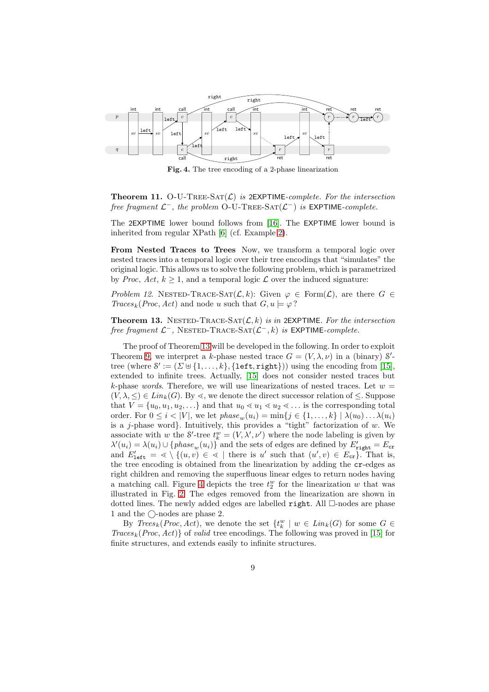

<span id="page-8-1"></span>Fig. 4. The tree encoding of a 2-phase linearization

**Theorem 11.** O-U-TREE-SAT( $\mathcal{L}$ ) is 2EXPTIME-complete. For the intersection free fragment  $\mathcal{L}^-$ , the problem O-U-TREE-SAT( $\mathcal{L}^-$ ) is EXPTIME-complete.

The 2EXPTIME lower bound follows from [\[16\]](#page-11-18). The EXPTIME lower bound is inherited from regular XPath [\[6\]](#page-11-16) (cf. Example [2\)](#page-4-1).

From Nested Traces to Trees Now, we transform a temporal logic over nested traces into a temporal logic over their tree encodings that "simulates" the original logic. This allows us to solve the following problem, which is parametrized by Proc,  $Act, k \geq 1$ , and a temporal logic  $\mathcal{L}$  over the induced signature:

Problem 12. NESTED-TRACE-SAT $(\mathcal{L}, k)$ : Given  $\varphi \in \text{Form}(\mathcal{L})$ , are there  $G \in$  $Trace_{k}(Proc, Act)$  and node u such that  $G, u \models \varphi$ ?

<span id="page-8-0"></span>**Theorem 13.** NESTED-TRACE-SAT $(\mathcal{L}, k)$  is in 2EXPTIME. For the intersection free fragment  $\mathcal{L}^-$ , NESTED-TRACE-SAT $(\mathcal{L}^-, k)$  is EXPTIME-complete.

The proof of Theorem [13](#page-8-0) will be developed in the following. In order to exploit Theorem [9,](#page-6-2) we interpret a k-phase nested trace  $G = (V, \lambda, \nu)$  in a (binary)  $\mathcal{S}'$ tree (where  $\mathcal{S}' := (\Sigma \cup \{1, \ldots, k\}, \{\text{left}, \text{right}\})$ ) using the encoding from [\[15\]](#page-11-7), extended to infinite trees. Actually, [\[15\]](#page-11-7) does not consider nested traces but k-phase words. Therefore, we will use linearizations of nested traces. Let  $w =$  $(V, \lambda, \leq) \in Lin_k(G)$ . By  $\lt$ , we denote the direct successor relation of  $\leq$ . Suppose that  $V = \{u_0, u_1, u_2, \ldots\}$  and that  $u_0 \ll u_1 \ll u_2 \ll \ldots$  is the corresponding total order. For  $0 \leq i \leq |V|$ , we let  $phase_w(u_i) = \min\{j \in \{1, \ldots, k\} \mid \lambda(u_0) \ldots \lambda(u_i)\}$ is a j-phase word}. Intuitively, this provides a "tight" factorization of  $w$ . We associate with w the S'-tree  $t_k^w = (V, \lambda', \nu')$  where the node labeling is given by  $\lambda'(u_i) = \lambda(u_i) \cup \{phase_w(u_i)\}\$ and the sets of edges are defined by  $E'_{\text{right}} = E_{\text{cr}}$ and  $E'_{\text{left}} = \langle \ \rangle \{ (u, v) \in \langle \ \rangle \mid \text{there is } u' \text{ such that } (u', v) \in E_{\text{cr}} \}.$  That is, the tree encoding is obtained from the linearization by adding the cr-edges as right children and removing the superfluous linear edges to return nodes having a matching call. Figure [4](#page-8-1) depicts the tree  $t_2^w$  for the linearization w that was illustrated in Fig. [2.](#page-3-1) The edges removed from the linearization are shown in dotted lines. The newly added edges are labelled right. All  $\Box$ -nodes are phase 1 and the  $\bigcirc$ -nodes are phase 2.

<span id="page-8-2"></span>By  $Trees_k(Proc, Act)$ , we denote the set  $\{t_k^w \mid w \in Lin_k(G)$  for some  $G \in$  $Trace_k(Proc, Act)$  of valid tree encodings. The following was proved in [\[15\]](#page-11-7) for finite structures, and extends easily to infinite structures.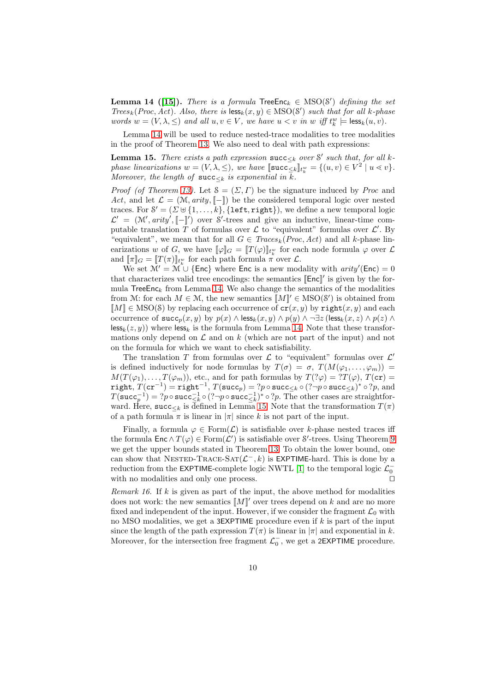**Lemma 14 ([\[15\]](#page-11-7)).** There is a formula  $\text{TreeEnc}_k \in \text{MSO}(S')$  defining the set  $Trees_k(Proc, Act)$ . Also, there is  $\text{less}_k(x, y) \in \text{MSO}(8')$  such that for all k-phase words  $w = (V, \lambda, \leq)$  and all  $u, v \in V$ , we have  $u < v$  in w iff  $t_k^w \models \text{less}_k(u, v)$ .

<span id="page-9-0"></span>Lemma [14](#page-8-2) will be used to reduce nested-trace modalities to tree modalities in the proof of Theorem [13.](#page-8-0) We also need to deal with path expressions:

**Lemma 15.** There exists a path expression  $succ<sub>k</sub> over S' such that, for all k$ phase linearizations  $w = (V, \lambda, \leq)$ , we have  $[\mathsf{succ}_{\leq k}]_{t_k^w} = \{(u, v) \in V^2 \mid u \leq v\}$ . Moreover, the length of  $succ_{k}$  is exponential in k.

*Proof (of Theorem [13\)](#page-8-0).* Let  $S = (\Sigma, \Gamma)$  be the signature induced by *Proc* and Act, and let  $\mathcal{L} = (\mathcal{M}, \text{arity}, \llbracket - \rrbracket)$  be the considered temporal logic over nested traces. For  $S' = (\Sigma \cup \{1, ..., k\}, \{\text{left}, \text{right}\}),$  we define a new temporal logic  $\mathcal{L}' = (\mathcal{M}', \text{arity}', \llbracket - \rrbracket')$  over S'-trees and give an inductive, linear-time computable translation T of formulas over  $\mathcal L$  to "equivalent" formulas over  $\mathcal L'$ . By "equivalent", we mean that for all  $G \in Trace_{k}(Proc, Act)$  and all k-phase linearizations w of G, we have  $[\![\varphi]\!]_G = [T(\varphi)]\!]_{t^w_k}$  for each node formula  $\varphi$  over  $\mathcal L$ and  $[\![\pi]\!]_G = [\![T(\pi)]\!]_{t^w_k}$  for each path formula  $\pi$  over  $\mathcal{L}$ .

We set  $\mathcal{M}' = \mathcal{M} \cup \{ \text{Enc} \}$  where  $\text{Enc}$  is a new modality with  $arity'(\text{Enc}) = 0$ that characterizes valid tree encodings: the semantics  $\mathbb{E}$ fincting is given by the formula  $TreeEnc_k$  from Lemma [14.](#page-8-2) We also change the semantics of the modalities from M: for each  $M \in \mathcal{M}$ , the new semantics  $[M] \in \text{MSO}(\mathcal{S}')$  is obtained from  $[M] \in \text{MSO}(8)$  by replacing each occurrence of  $cr(x, y)$  by right $(x, y)$  and each occurrence of  $succ_p(x, y)$  by  $p(x) \wedge \text{less}_k(x, y) \wedge p(y) \wedge \exists z$  (less $_k(x, z) \wedge p(z) \wedge p(z)$ )  $\textsf{less}_k(z,y)$ ) where  $\textsf{less}_k$  is the formula from Lemma [14.](#page-8-2) Note that these transformations only depend on  $\mathcal L$  and on k (which are not part of the input) and not on the formula for which we want to check satisfiability.

The translation T from formulas over  $\mathcal L$  to "equivalent" formulas over  $\mathcal L'$ is defined inductively for node formulas by  $T(\sigma) = \sigma, T(M(\varphi_1, \ldots, \varphi_m)) =$  $M(T(\varphi_1),...,T(\varphi_m))$ , etc., and for path formulas by  $T(?\varphi)=?T(\varphi), T(\text{cr})=$  $\texttt{right}, T(\texttt{cr}^{-1}) = \texttt{right}^{-1}, T(\texttt{succ}_p) = ?p \circ \texttt{succ}_{\leq k} \circ (? \neg p \circ \texttt{succ}_{\leq k})^* \circ ?p, \text{ and}$  $T(\verb+succ+_{p}^{-1})=?p \circ \verb+succ+_{\leq k}^{-1} \circ (? \neg p \circ \verb+succ+_{\leq k}^{-1})^* \circ ?p.$  The other cases are straightfor-ward. Here, succ<sub>≤k</sub> is defined in Lemma [15.](#page-9-0) Note that the transformation  $T(\pi)$ of a path formula  $\pi$  is linear in  $|\pi|$  since k is not part of the input.

Finally, a formula  $\varphi \in \text{Form}(\mathcal{L})$  is satisfiable over k-phase nested traces iff the formula  $\textsf{Enc} \land T(\varphi) \in \text{Form}(\mathcal{L}')$  is satisfiable over S'-trees. Using Theorem [9](#page-6-2) we get the upper bounds stated in Theorem [13.](#page-8-0) To obtain the lower bound, one can show that NESTED-TRACE-SAT $(\mathcal{L}^-, k)$  is EXPTIME-hard. This is done by a reduction from the  $\textsf{EXPTIME-complete}$  logic NWTL [\[1\]](#page-11-5) to the temporal logic  $\mathcal{L}^-_0$ with no modalities and only one process.  $\Box$ 

Remark 16. If  $k$  is given as part of the input, the above method for modalities does not work: the new semantics  $[M]$  over trees depend on k and are no more fixed and independent of the input. However, if we consider the fragment  $\mathcal{L}_0$  with no MSO modalities, we get a  $3EXPTIME$  procedure even if k is part of the input since the length of the path expression  $T(\pi)$  is linear in  $|\pi|$  and exponential in k. Moreover, for the intersection free fragment  $\mathcal{L}_0^-$ , we get a 2EXPTIME procedure.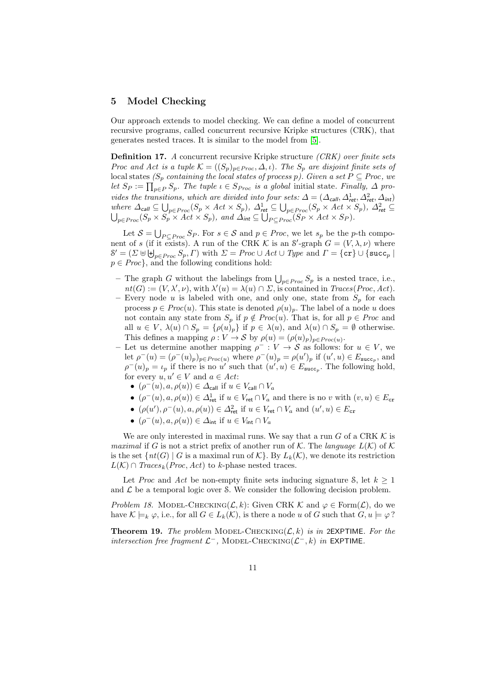# <span id="page-10-0"></span>5 Model Checking

Our approach extends to model checking. We can define a model of concurrent recursive programs, called concurrent recursive Kripke structures (CRK), that generates nested traces. It is similar to the model from [\[5\]](#page-11-9).

Definition 17. A concurrent recursive Kripke structure (CRK) over finite sets Proc and Act is a tuple  $\mathcal{K} = ((S_p)_{p \in Proc}, \Delta, \iota)$ . The  $S_p$  are disjoint finite sets of local states ( $S_p$  containing the local states of process p). Given a set  $P \subseteq Proc$ , we let  $S_P := \prod_{p \in P} S_p$ . The tuple  $\iota \in S_{Proc}$  is a global initial state. Finally,  $\Delta$  provides the transitions, which are divided into four sets:  $\Delta = (\Delta_{\text{call}}, \Delta_{\text{ret}}^1, \Delta_{\text{ret}}^2, \Delta_{\text{int}})$ where  $\Delta_{\text{call}} \subseteq \bigcup_{p \in \text{Proc}} (S_p \times \text{Act} \times S_p), \ \Delta_{\text{ret}}^1 \subseteq \bigcup_{p \in \text{Proc}} (S_p \times \text{Act} \times S_p), \ \Delta_{\text{ret}}^2 \subseteq$  $\bigcup_{p\in Proc}(S_p\times \overline{S_p} \times \overline{Act} \times S_p)$ , and  $\overline{\Delta}_{int} \subseteq \bigcup_{P\subseteq Proc}(S_P\times \overline{Act} \times S_P)$ .

Let  $S = \bigcup_{P \subseteq Proc} S_P$ . For  $s \in S$  and  $p \in Proc$ , we let  $s_p$  be the p-th component of s (if it exists). A run of the CRK K is an S'-graph  $G = (V, \lambda, \nu)$  where  $S' = (\Sigma \uplus \biguplus_{p \in \text{Proc}} S_p, \Gamma)$  with  $\Sigma = \text{Proc} \cup \text{Act} \cup \text{Type}$  and  $\Gamma = \{ \text{cr} \} \cup \{ \text{succ}_p \mid \Gamma \}$  $p \in Proc$ , and the following conditions hold:

- The graph G without the labelings from  $\bigcup_{p\in Proc} S_p$  is a nested trace, i.e.,  $nt(G) := (V, \lambda', \nu)$ , with  $\lambda'(u) = \lambda(u) \cap \Sigma$ , is contained in *Traces*(*Proc*, *Act*).
- Every node u is labeled with one, and only one, state from  $S_p$  for each process  $p \in Proc(u)$ . This state is denoted  $\rho(u)_p$ . The label of a node u does not contain any state from  $S_p$  if  $p \notin Proc(u)$ . That is, for all  $p \in Proc$  and all  $u \in V$ ,  $\lambda(u) \cap S_p = \{\rho(u)_p\}$  if  $p \in \lambda(u)$ , and  $\lambda(u) \cap S_p = \emptyset$  otherwise. This defines a mapping  $\rho: V \to S$  by  $\rho(u)=(\rho(u)_p)_{p\in Proc(u)}$ .
- Let us determine another mapping  $ρ$  :  $V$  →  $S$  as follows: for  $u \in V$ , we let  $\rho^-(u) = (\rho^-(u)_p)_{p \in Proc(u)}$  where  $\rho^-(u)_p = \rho(u')_p$  if  $(u', u) \in E_{succ_p}$ , and  $\rho^-(u)_p = \iota_p$  if there is no u' such that  $(u', u) \in E_{\text{succ}_p}$ . The following hold, for every  $u, u' \in V$  and  $a \in Act$ :
	- $\bullet$   $(\rho^-(u), a, \rho(u)) \in \Delta_{\mathsf{call}}$  if  $u \in V_{\mathsf{call}} \cap V_a$
	- $(\rho^-(u), a, \rho(u)) \in \Delta^1_{\text{ret}}$  if  $u \in V_{\text{ret}} \cap V_a$  and there is no v with  $(v, u) \in E_{\text{cr}}$
	- $(\rho(u'), \rho^-(u), a, \rho(u)) \in \Delta^2_{\text{ret}}$  if  $u \in V_{\text{ret}} \cap V_a$  and  $(u', u) \in E_{\text{cr}}$
	- $(\rho^-(u), a, \rho(u)) \in \Delta_{\text{int}}$  if  $u \in V_{\text{int}} \cap V_a$

We are only interested in maximal runs. We say that a run  $G$  of a CRK  $K$  is *maximal* if G is not a strict prefix of another run of K. The *language*  $L(K)$  of K is the set  $\{nt(G) | G$  is a maximal run of  $\mathcal{K}\}$ . By  $L_k(\mathcal{K})$ , we denote its restriction  $L(K) \cap Trace_{k}(Proc, Act)$  to k-phase nested traces.

Let Proc and Act be non-empty finite sets inducing signature S, let  $k > 1$ and  $\mathcal L$  be a temporal logic over S. We consider the following decision problem.

*Problem 18.* MODEL-CHECKING( $\mathcal{L}, k$ ): Given CRK  $\mathcal{K}$  and  $\varphi \in \text{Form}(\mathcal{L})$ , do we have  $\mathcal{K} \models_k \varphi$ , i.e., for all  $G \in L_k(\mathcal{K})$ , is there a node u of G such that  $G, u \models \varphi$ ?

**Theorem 19.** The problem MODEL-CHECKING( $\mathcal{L}, k$ ) is in 2EXPTIME. For the intersection free fragment  $\mathcal{L}^-$ , MODEL-CHECKING( $\mathcal{L}^-$ , k) in EXPTIME.